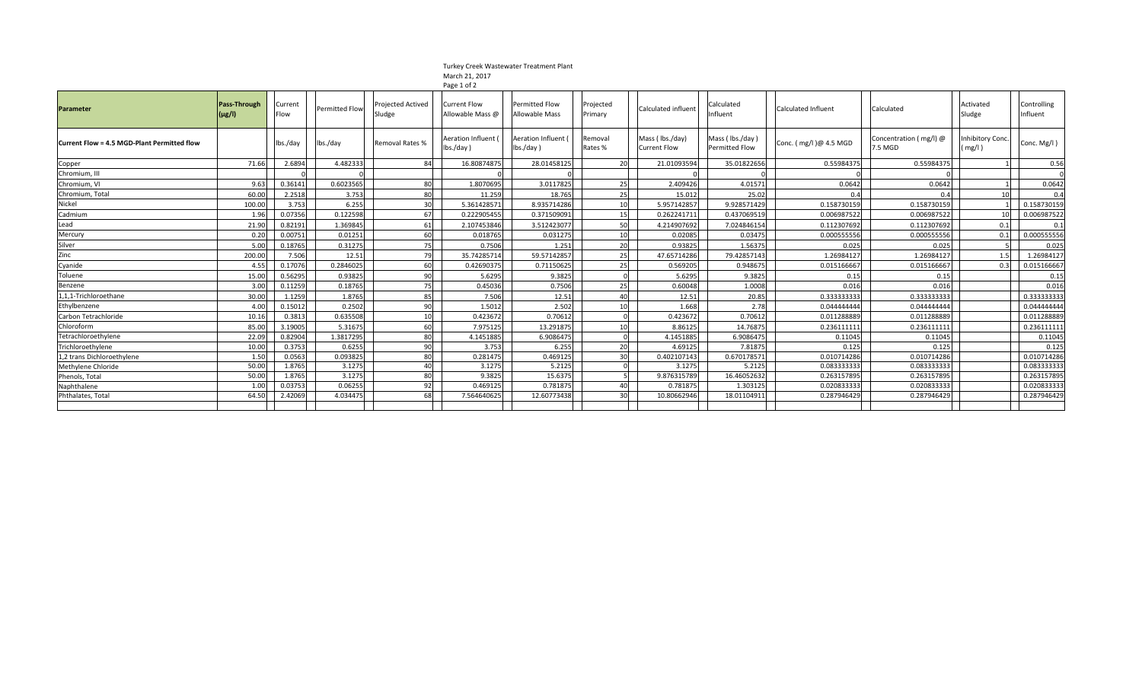## Turkey Creek Wastewater Treatment Plant March 21, 2017

|                                             |                            |                 |                       |                             | Page 1 of 2                                        |                                                |                      |                                        |                                            |                            |                                   |                            |                         |
|---------------------------------------------|----------------------------|-----------------|-----------------------|-----------------------------|----------------------------------------------------|------------------------------------------------|----------------------|----------------------------------------|--------------------------------------------|----------------------------|-----------------------------------|----------------------------|-------------------------|
| <b>Parameter</b>                            | Pass-Through<br>$(\mu$ g/l | Current<br>Flow | <b>Permitted Flow</b> | Projected Actived<br>Sludge | <b>Current Flow</b><br>Allowable Mass @            | <b>Permitted Flow</b><br><b>Allowable Mass</b> | Projected<br>Primary | Calculated influent                    | Calculated<br>Influent                     | <b>Calculated Influent</b> | Calculated                        | Activated<br>Sludge        | Controlling<br>Influent |
| Current Flow = 4.5 MGD-Plant Permitted flow |                            | lbs./day        | lbs./day              | Removal Rates %             | Aeration Influent<br>$\mathsf{Ibs}/\mathsf{day}$ ) | <b>Aeration Influent</b><br>$lbs./day$ )       | Removal<br>Rates %   | Mass (Ibs./day)<br><b>Current Flow</b> | Mass ( lbs./day )<br><b>Permitted Flow</b> | Conc. (mg/l)@ 4.5 MGD      | Concentration (mg/l) @<br>7.5 MGD | Inhibitory Conc.<br>(mg/l) | Conc. Mg/l)             |
| Copper                                      | 71.66                      | 2.6894          | 4.482333              | 84                          | 16.80874875                                        | 28.01458125                                    | <b>20</b>            | 21.01093594                            | 35.01822656                                | 0.55984375                 | 0.55984375                        |                            | 0.56                    |
| Chromium, III                               |                            |                 |                       |                             |                                                    | $\cap$                                         |                      |                                        |                                            |                            |                                   |                            |                         |
| Chromium, VI                                | 9.63                       | 0.36141         | 0.6023565             | 80                          | 1.8070695                                          | 3.0117825                                      | 25                   | 2.409426                               | 4.01571                                    | 0.0642                     | 0.0642                            |                            | 0.0642                  |
| Chromium, Total                             | 60.00                      | 2.2518          | 3.753                 | 80                          | 11.259                                             | 18.765                                         | 25                   | 15.012                                 | 25.02                                      | 0.4                        | 0.4                               |                            | 0.4                     |
| Nickel                                      | 100.00                     | 3.753           | 6.255                 | 30                          | 5.361428571                                        | 8.935714286                                    | 10                   | 5.957142857                            | 9.928571429                                | 0.15873015                 | 0.158730159                       |                            | 0.158730159             |
| Cadmium                                     | 1.96                       | 0.07356         | 0.122598              | 67                          | 0.222905455                                        | 0.371509091                                    | 15                   | 0.262241711                            | 0.437069519                                | 0.006987522                | 0.006987522                       |                            | 0.006987522             |
| Lead                                        | 21.90                      | 0.82191         | 1.369845              | 61                          | 2.107453846                                        | 3.512423077                                    | 50                   | 4.214907692                            | 7.024846154                                | 0.112307692                | 0.112307692                       | 0.1                        | 0.1                     |
| Mercury                                     | 0.20                       | 0.00751         | 0.01251               | 60                          | 0.01876                                            | 0.031275                                       | 10                   | 0.02085                                | 0.03475                                    | 0.00055555                 | 0.000555556                       | 0.1                        | 0.000555556             |
| Silver                                      | 5.00                       | 0.18765         | 0.31275               | 75                          | 0.7506                                             | 1.251                                          | 20                   | 0.93825                                | 1.56375                                    | 0.025                      | 0.025                             |                            | 0.025                   |
| Zinc                                        | 200.00                     | 7.506           | 12.51                 | 79                          | 35.74285714                                        | 59.57142857                                    | 25                   | 47.65714286                            | 79.42857143                                | 1.26984127                 | 1.26984127                        | 1.5                        | 1.26984127              |
| Cyanide                                     | 4.55                       | 0.17076         | 0.2846025             | 60                          | 0.42690375                                         | 0.71150625                                     | 25                   | 0.569205                               | 0.948675                                   | 0.01516666                 | 0.015166667                       | 0.3                        | 0.015166667             |
| Toluene                                     | 15.00                      | 0.56295         | 0.93825               | 90                          | 5.6295                                             | 9.3825                                         |                      | 5.6295                                 | 9.3825                                     | 0.15                       | 0.15                              |                            | 0.15                    |
| Benzene                                     | 3.00                       | 0.11259         | 0.18765               | 75                          | 0.45036                                            | 0.7506                                         | 25                   | 0.60048                                | 1.0008                                     | 0.016                      | 0.016                             |                            | 0.016                   |
| 1,1,1-Trichloroethane                       | 30.00                      | 1.1259          | 1.8765                | 85                          | 7.506                                              | 12.51                                          | 40                   | 12.51                                  | 20.85                                      | 0.33333333                 | 0.333333333                       |                            | 0.333333333             |
| Ethylbenzene                                | 4.00                       | 0.15012         | 0.2502                | 90                          | 1.5012                                             | 2.502                                          | 10                   | 1.668                                  | 2.78                                       | 0.04444444                 | 0.044444444                       |                            | 0.044444444             |
| Carbon Tetrachloride                        | 10.16                      | 0.3813          | 0.635508              | 10                          | 0.423672                                           | 0.70612                                        | $\sqrt{ }$           | 0.423672                               | 0.70612                                    | 0.01128888                 | 0.011288889                       |                            | 0.011288889             |
| Chloroform                                  | 85.00                      | 3.19005         | 5.31675               | 60                          | 7.975125                                           | 13.291875                                      | 10                   | 8.86125                                | 14.76875                                   | 0.236111111                | 0.236111111                       |                            | 0.236111111             |
| Tetrachloroethylene                         | 22.09                      | 0.82904         | 1.3817295             | 80                          | 4.1451885                                          | 6.908647                                       |                      | 4.1451885                              | 6.9086475                                  | 0.11045                    | 0.11045                           |                            | 0.11045                 |
| Trichloroethylene                           | 10.00                      | 0.3753          | 0.6255                | 90                          | 3.753                                              | 6.255                                          | 20                   | 4.69125                                | 7.81875                                    | 0.125                      | 0.125                             |                            | 0.125                   |
| 1,2 trans Dichloroethylene                  | 1.50                       | 0.0563          | 0.093825              | 80                          | 0.281475                                           | 0.469125                                       | 30                   | 0.402107143                            | 0.670178571                                | 0.010714286                | 0.010714286                       |                            | 0.010714286             |
| Methylene Chloride                          | 50.00                      | 1.8765          | 3.1275                | 40                          | 3.1275                                             | 5.2125                                         | $\Omega$             | 3.1275                                 | 5.2125                                     | 0.083333333                | 0.083333333                       |                            | 0.083333333             |
| Phenols, Total                              | 50.00                      | 1.8765          | 3.1275                | 80                          | 9.3825                                             | 15.6375                                        |                      | 9.876315789                            | 16.46052632                                | 0.26315789                 | 0.263157895                       |                            | 0.263157895             |
| Naphthalene                                 | 1.00                       | 0.03753         | 0.06255               | 92                          | 0.469125                                           | 0.781875                                       | 40                   | 0.781875                               | 1.303125                                   | 0.020833333                | 0.020833333                       |                            | 0.020833333             |
| Phthalates, Total                           | 64.50                      | 2.42069         | 4.034475              | 68                          | 7.564640625                                        | 12.60773438                                    | 30                   | 10.80662946                            | 18.0110491                                 | 0.287946429                | 0.287946429                       |                            | 0.287946429             |